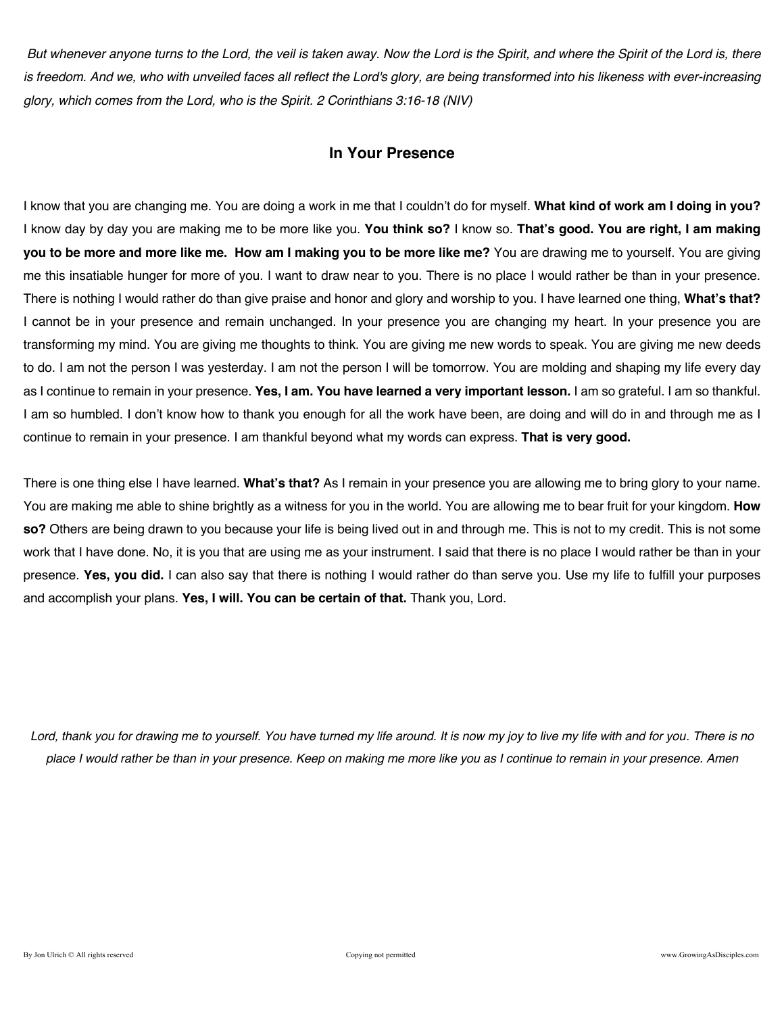*But whenever anyone turns to the Lord, the veil is taken away. Now the Lord is the Spirit, and where the Spirit of the Lord is, there*  is freedom. And we, who with unveiled faces all reflect the Lord's glory, are being transformed into his likeness with ever-increasing *glory, which comes from the Lord, who is the Spirit. 2 Corinthians 3:16-18 (NIV)*

## **In Your Presence**

I know that you are changing me. You are doing a work in me that I couldn't do for myself. **What kind of work am I doing in you?** I know day by day you are making me to be more like you. **You think so?** I know so. **That's good. You are right, I am making you to be more and more like me. How am I making you to be more like me?** You are drawing me to yourself. You are giving me this insatiable hunger for more of you. I want to draw near to you. There is no place I would rather be than in your presence. There is nothing I would rather do than give praise and honor and glory and worship to you. I have learned one thing, **What's that?** I cannot be in your presence and remain unchanged. In your presence you are changing my heart. In your presence you are transforming my mind. You are giving me thoughts to think. You are giving me new words to speak. You are giving me new deeds to do. I am not the person I was yesterday. I am not the person I will be tomorrow. You are molding and shaping my life every day as I continue to remain in your presence. **Yes, I am. You have learned a very important lesson.** I am so grateful. I am so thankful. I am so humbled. I don't know how to thank you enough for all the work have been, are doing and will do in and through me as I continue to remain in your presence. I am thankful beyond what my words can express. **That is very good.**

There is one thing else I have learned. **What's that?** As I remain in your presence you are allowing me to bring glory to your name. You are making me able to shine brightly as a witness for you in the world. You are allowing me to bear fruit for your kingdom. **How so?** Others are being drawn to you because your life is being lived out in and through me. This is not to my credit. This is not some work that I have done. No, it is you that are using me as your instrument. I said that there is no place I would rather be than in your presence. **Yes, you did.** I can also say that there is nothing I would rather do than serve you. Use my life to fulfill your purposes and accomplish your plans. **Yes, I will. You can be certain of that.** Thank you, Lord.

*Lord, thank you for drawing me to yourself. You have turned my life around. It is now my joy to live my life with and for you. There is no place I would rather be than in your presence. Keep on making me more like you as I continue to remain in your presence. Amen*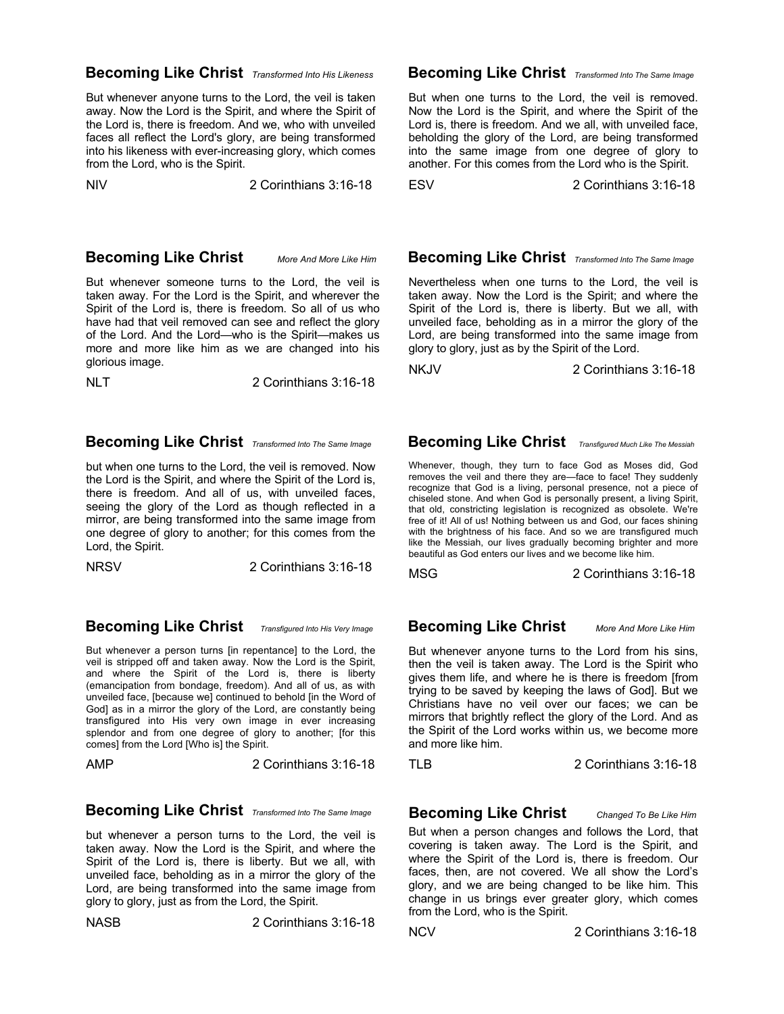**Becoming Like Christ** *Transformed Into His Likeness*

But whenever anyone turns to the Lord, the veil is taken away. Now the Lord is the Spirit, and where the Spirit of the Lord is, there is freedom. And we, who with unveiled faces all reflect the Lord's glory, are being transformed into his likeness with ever-increasing glory, which comes from the Lord, who is the Spirit.

NIV 2 Corinthians 3:16-18

### **Becoming Like Christ** *More And More Like Him*

But whenever someone turns to the Lord, the veil is taken away. For the Lord is the Spirit, and wherever the Spirit of the Lord is, there is freedom. So all of us who have had that veil removed can see and reflect the glory of the Lord. And the Lord—who is the Spirit—makes us more and more like him as we are changed into his glorious image.

NLT 2 Corinthians 3:16-18

### **Becoming Like Christ** *Transformed Into The Same Image*

but when one turns to the Lord, the veil is removed. Now the Lord is the Spirit, and where the Spirit of the Lord is, there is freedom. And all of us, with unveiled faces, seeing the glory of the Lord as though reflected in a mirror, are being transformed into the same image from one degree of glory to another; for this comes from the Lord, the Spirit.

NRSV 2 Corinthians 3:16-18

### **Becoming Like Christ** *Transfigured Into His Very Image*

But whenever a person turns [in repentance] to the Lord, the veil is stripped off and taken away. Now the Lord is the Spirit, and where the Spirit of the Lord is, there is liberty (emancipation from bondage, freedom). And all of us, as with unveiled face, [because we] continued to behold [in the Word of God] as in a mirror the glory of the Lord, are constantly being transfigured into His very own image in ever increasing splendor and from one degree of glory to another; [for this comes] from the Lord [Who is] the Spirit.

AMP 2 Corinthians 3:16-18

## **Becoming Like Christ** *Transformed Into The Same Image*

but whenever a person turns to the Lord, the veil is taken away. Now the Lord is the Spirit, and where the Spirit of the Lord is, there is liberty. But we all, with unveiled face, beholding as in a mirror the glory of the Lord, are being transformed into the same image from glory to glory, just as from the Lord, the Spirit.

NASB 2 Corinthians 3:16-18

 **Becoming Like Christ** *Transformed Into The Same Image*

But when one turns to the Lord, the veil is removed. Now the Lord is the Spirit, and where the Spirit of the Lord is, there is freedom. And we all, with unveiled face, beholding the glory of the Lord, are being transformed into the same image from one degree of glory to another. For this comes from the Lord who is the Spirit.

ESV 2 Corinthians 3:16-18

 **Becoming Like Christ** *Transformed Into The Same Image*

Nevertheless when one turns to the Lord, the veil is taken away. Now the Lord is the Spirit; and where the Spirit of the Lord is, there is liberty. But we all, with unveiled face, beholding as in a mirror the glory of the Lord, are being transformed into the same image from glory to glory, just as by the Spirit of the Lord.

NKJV 2 Corinthians 3:16-18

## **Becoming Like Christ** *Transfigured Much Like The Messiah*

Whenever, though, they turn to face God as Moses did, God removes the veil and there they are—face to face! They suddenly recognize that God is a living, personal presence, not a piece of chiseled stone. And when God is personally present, a living Spirit, that old, constricting legislation is recognized as obsolete. We're free of it! All of us! Nothing between us and God, our faces shining with the brightness of his face. And so we are transfigured much like the Messiah, our lives gradually becoming brighter and more beautiful as God enters our lives and we become like him.

MSG 2 Corinthians 3:16-18

## **Becoming Like Christ** *More And More Like Him*

But whenever anyone turns to the Lord from his sins, then the veil is taken away. The Lord is the Spirit who gives them life, and where he is there is freedom [from trying to be saved by keeping the laws of God]. But we Christians have no veil over our faces; we can be mirrors that brightly reflect the glory of the Lord. And as the Spirit of the Lord works within us, we become more and more like him.

TLB 2 Corinthians 3:16-18

## **Becoming Like Christ** *Changed To Be Like Him*

But when a person changes and follows the Lord, that covering is taken away. The Lord is the Spirit, and where the Spirit of the Lord is, there is freedom. Our faces, then, are not covered. We all show the Lord's glory, and we are being changed to be like him. This change in us brings ever greater glory, which comes from the Lord, who is the Spirit.

NCV 2 Corinthians 3:16-18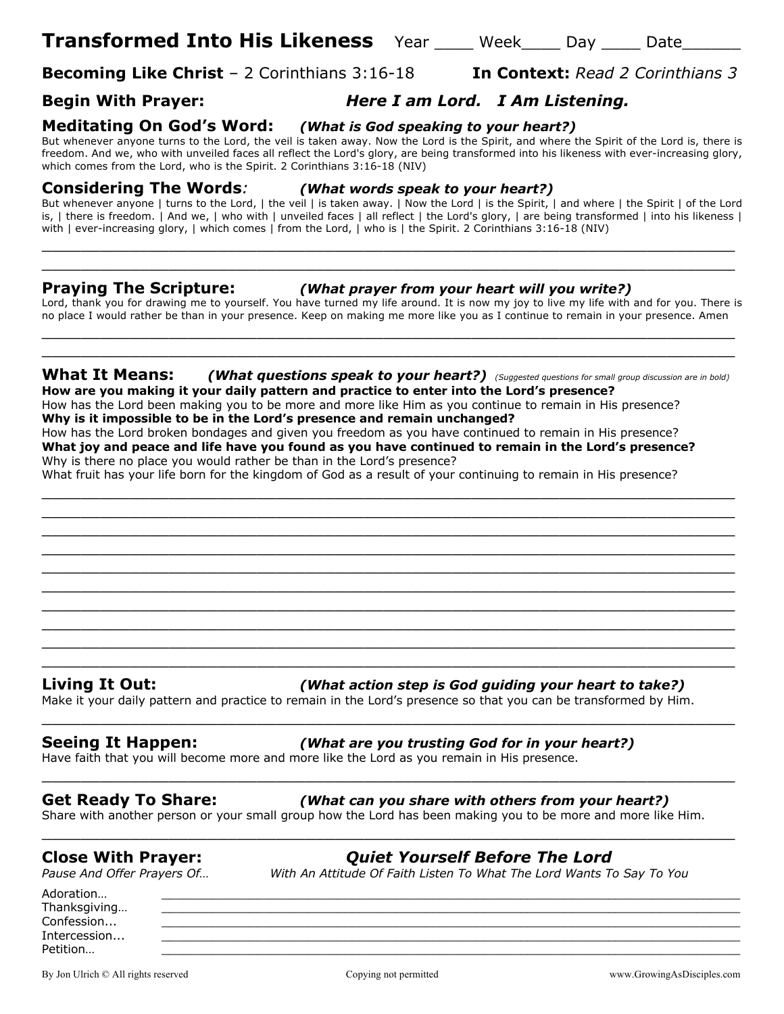**Becoming Like Christ** – 2 Corinthians 3:16-18 **In Context:** *Read 2 Corinthians 3*

# **Begin With Prayer:** *Here I am Lord. I Am Listening.*

## **Meditating On God's Word:** *(What is God speaking to your heart?)*

But whenever anyone turns to the Lord, the veil is taken away. Now the Lord is the Spirit, and where the Spirit of the Lord is, there is freedom. And we, who with unveiled faces all reflect the Lord's glory, are being transformed into his likeness with ever-increasing glory, which comes from the Lord, who is the Spirit. 2 Corinthians 3:16-18 (NIV)

**Considering The Words***: (What words speak to your heart?)*

But whenever anyone | turns to the Lord, | the veil | is taken away. | Now the Lord | is the Spirit, | and where | the Spirit | of the Lord is, | there is freedom. | And we, | who with | unveiled faces | all reflect | the Lord's glory, | are being transformed | into his likeness | with | ever-increasing glory, | which comes | from the Lord, | who is | the Spirit. 2 Corinthians 3:16-18 (NIV)

 $\_$  , and the contribution of the contribution of  $\mathcal{L}$  , and  $\mathcal{L}$  , and  $\mathcal{L}$  , and  $\mathcal{L}$  , and  $\mathcal{L}$  , and  $\mathcal{L}$  , and  $\mathcal{L}$  , and  $\mathcal{L}$  , and  $\mathcal{L}$  , and  $\mathcal{L}$  , and  $\mathcal{L}$  , and  $\mathcal{L$ \_\_\_\_\_\_\_\_\_\_\_\_\_\_\_\_\_\_\_\_\_\_\_\_\_\_\_\_\_\_\_\_\_\_\_\_\_\_\_\_\_\_\_\_\_\_\_\_\_\_\_\_\_\_\_\_\_\_\_\_\_\_\_\_\_\_\_\_\_\_\_

## **Praying The Scripture:** *(What prayer from your heart will you write?)*

Lord, thank you for drawing me to yourself. You have turned my life around. It is now my joy to live my life with and for you. There is no place I would rather be than in your presence. Keep on making me more like you as I continue to remain in your presence. Amen

 $\_$  . The contribution of the contribution of  $\mathcal{L}_1$  ,  $\mathcal{L}_2$  ,  $\mathcal{L}_3$  ,  $\mathcal{L}_4$  ,  $\mathcal{L}_5$  ,  $\mathcal{L}_6$  ,  $\mathcal{L}_7$  ,  $\mathcal{L}_8$  ,  $\mathcal{L}_9$  ,  $\mathcal{L}_1$  ,  $\mathcal{L}_2$  ,  $\mathcal{L}_3$  ,  $\mathcal{L}_5$  ,  $\mathcal{L}_6$  ,  $\mathcal{L}_$ \_\_\_\_\_\_\_\_\_\_\_\_\_\_\_\_\_\_\_\_\_\_\_\_\_\_\_\_\_\_\_\_\_\_\_\_\_\_\_\_\_\_\_\_\_\_\_\_\_\_\_\_\_\_\_\_\_\_\_\_\_\_\_\_\_\_\_\_\_\_\_

# **What It Means:** *(What questions speak to your heart?) (Suggested questions for small group discussion are in bold)*

**How are you making it your daily pattern and practice to enter into the Lord's presence?** How has the Lord been making you to be more and more like Him as you continue to remain in His presence? **Why is it impossible to be in the Lord's presence and remain unchanged?**

How has the Lord broken bondages and given you freedom as you have continued to remain in His presence? **What joy and peace and life have you found as you have continued to remain in the Lord's presence?** Why is there no place you would rather be than in the Lord's presence?

 $\_$  , and the contribution of the contribution of  $\mathcal{L}$  , and  $\mathcal{L}$  , and  $\mathcal{L}$  , and  $\mathcal{L}$  , and  $\mathcal{L}$  , and  $\mathcal{L}$  , and  $\mathcal{L}$  , and  $\mathcal{L}$  , and  $\mathcal{L}$  , and  $\mathcal{L}$  , and  $\mathcal{L}$  , and  $\mathcal{L$  $\_$  , and the set of the set of the set of the set of the set of the set of the set of the set of the set of the set of the set of the set of the set of the set of the set of the set of the set of the set of the set of th  $\_$  , and the contribution of the contribution of  $\mathcal{L}$  , and  $\mathcal{L}$  , and  $\mathcal{L}$  , and  $\mathcal{L}$  , and  $\mathcal{L}$  , and  $\mathcal{L}$  , and  $\mathcal{L}$  , and  $\mathcal{L}$  , and  $\mathcal{L}$  , and  $\mathcal{L}$  , and  $\mathcal{L}$  , and  $\mathcal{L$ \_\_\_\_\_\_\_\_\_\_\_\_\_\_\_\_\_\_\_\_\_\_\_\_\_\_\_\_\_\_\_\_\_\_\_\_\_\_\_\_\_\_\_\_\_\_\_\_\_\_\_\_\_\_\_\_\_\_\_\_\_\_\_\_\_\_\_\_\_\_\_ \_\_\_\_\_\_\_\_\_\_\_\_\_\_\_\_\_\_\_\_\_\_\_\_\_\_\_\_\_\_\_\_\_\_\_\_\_\_\_\_\_\_\_\_\_\_\_\_\_\_\_\_\_\_\_\_\_\_\_\_\_\_\_\_\_\_\_\_\_\_\_  $\_$  , and the contribution of the contribution of  $\mathcal{L}$  , and  $\mathcal{L}$  , and  $\mathcal{L}$  , and  $\mathcal{L}$  , and  $\mathcal{L}$  , and  $\mathcal{L}$  , and  $\mathcal{L}$  , and  $\mathcal{L}$  , and  $\mathcal{L}$  , and  $\mathcal{L}$  , and  $\mathcal{L}$  , and  $\mathcal{L$  $\_$  , and the contribution of the contribution of  $\mathcal{L}$  , and  $\mathcal{L}$  , and  $\mathcal{L}$  , and  $\mathcal{L}$  , and  $\mathcal{L}$  , and  $\mathcal{L}$  , and  $\mathcal{L}$  , and  $\mathcal{L}$  , and  $\mathcal{L}$  , and  $\mathcal{L}$  , and  $\mathcal{L}$  , and  $\mathcal{L$ \_\_\_\_\_\_\_\_\_\_\_\_\_\_\_\_\_\_\_\_\_\_\_\_\_\_\_\_\_\_\_\_\_\_\_\_\_\_\_\_\_\_\_\_\_\_\_\_\_\_\_\_\_\_\_\_\_\_\_\_\_\_\_\_\_\_\_\_\_\_\_ \_\_\_\_\_\_\_\_\_\_\_\_\_\_\_\_\_\_\_\_\_\_\_\_\_\_\_\_\_\_\_\_\_\_\_\_\_\_\_\_\_\_\_\_\_\_\_\_\_\_\_\_\_\_\_\_\_\_\_\_\_\_\_\_\_\_\_\_\_\_\_ \_\_\_\_\_\_\_\_\_\_\_\_\_\_\_\_\_\_\_\_\_\_\_\_\_\_\_\_\_\_\_\_\_\_\_\_\_\_\_\_\_\_\_\_\_\_\_\_\_\_\_\_\_\_\_\_\_\_\_\_\_\_\_\_\_\_\_\_\_\_\_

What fruit has your life born for the kingdom of God as a result of your continuing to remain in His presence?

## **Living It Out:** *(What action step is God guiding your heart to take?)*

Make it your daily pattern and practice to remain in the Lord's presence so that you can be transformed by Him.

\_\_\_\_\_\_\_\_\_\_\_\_\_\_\_\_\_\_\_\_\_\_\_\_\_\_\_\_\_\_\_\_\_\_\_\_\_\_\_\_\_\_\_\_\_\_\_\_\_\_\_\_\_\_\_\_\_\_\_\_\_\_\_\_\_\_\_\_\_\_\_

\_\_\_\_\_\_\_\_\_\_\_\_\_\_\_\_\_\_\_\_\_\_\_\_\_\_\_\_\_\_\_\_\_\_\_\_\_\_\_\_\_\_\_\_\_\_\_\_\_\_\_\_\_\_\_\_\_\_\_\_\_\_\_\_\_\_\_\_\_\_\_

\_\_\_\_\_\_\_\_\_\_\_\_\_\_\_\_\_\_\_\_\_\_\_\_\_\_\_\_\_\_\_\_\_\_\_\_\_\_\_\_\_\_\_\_\_\_\_\_\_\_\_\_\_\_\_\_\_\_\_\_\_\_\_\_\_\_\_\_\_\_\_

## **Seeing It Happen:** *(What are you trusting God for in your heart?)*

Have faith that you will become more and more like the Lord as you remain in His presence.

## **Get Ready To Share:** *(What can you share with others from your heart?)*

Share with another person or your small group how the Lord has been making you to be more and more like Him.

**Close With Prayer:** *Quiet Yourself Before The Lord Pause And Offer Prayers Of… With An Attitude Of Faith Listen To What The Lord Wants To Say To You*

Adoration… \_\_\_\_\_\_\_\_\_\_\_\_\_\_\_\_\_\_\_\_\_\_\_\_\_\_\_\_\_\_\_\_\_\_\_\_\_\_\_\_\_\_\_\_\_\_\_\_\_\_\_\_\_\_\_\_\_\_\_\_\_\_\_\_\_\_\_\_\_\_\_\_\_\_\_\_\_\_\_ Thanksgiving... Confession... Intercession... Petition… \_\_\_\_\_\_\_\_\_\_\_\_\_\_\_\_\_\_\_\_\_\_\_\_\_\_\_\_\_\_\_\_\_\_\_\_\_\_\_\_\_\_\_\_\_\_\_\_\_\_\_\_\_\_\_\_\_\_\_\_\_\_\_\_\_\_\_\_\_\_\_\_\_\_\_\_\_\_\_

By Jon Ulrich © All rights reserved compared compared compared compared compared www.GrowingAsDisciples.com